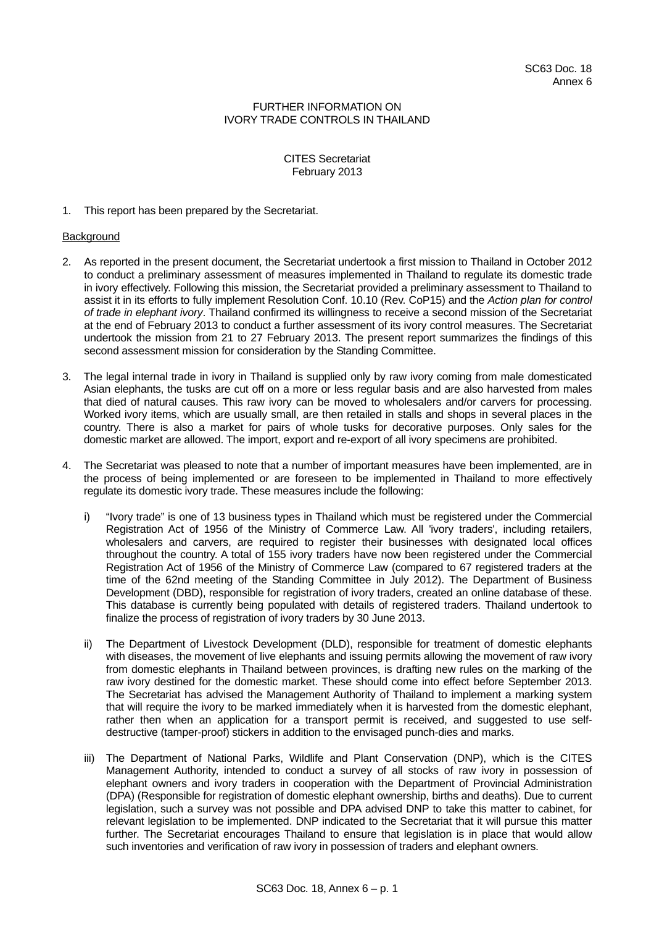## FURTHER INFORMATION ON IVORY TRADE CONTROLS IN THAILAND

CITES Secretariat February 2013

1. This report has been prepared by the Secretariat.

## **Background**

- 2. As reported in the present document, the Secretariat undertook a first mission to Thailand in October 2012 to conduct a preliminary assessment of measures implemented in Thailand to regulate its domestic trade in ivory effectively. Following this mission, the Secretariat provided a preliminary assessment to Thailand to assist it in its efforts to fully implement Resolution Conf. 10.10 (Rev. CoP15) and the *Action plan for control of trade in elephant ivory*. Thailand confirmed its willingness to receive a second mission of the Secretariat at the end of February 2013 to conduct a further assessment of its ivory control measures. The Secretariat undertook the mission from 21 to 27 February 2013. The present report summarizes the findings of this second assessment mission for consideration by the Standing Committee.
- 3. The legal internal trade in ivory in Thailand is supplied only by raw ivory coming from male domesticated Asian elephants, the tusks are cut off on a more or less regular basis and are also harvested from males that died of natural causes. This raw ivory can be moved to wholesalers and/or carvers for processing. Worked ivory items, which are usually small, are then retailed in stalls and shops in several places in the country. There is also a market for pairs of whole tusks for decorative purposes. Only sales for the domestic market are allowed. The import, export and re-export of all ivory specimens are prohibited.
- 4. The Secretariat was pleased to note that a number of important measures have been implemented, are in the process of being implemented or are foreseen to be implemented in Thailand to more effectively regulate its domestic ivory trade. These measures include the following:
	- i) "Ivory trade" is one of 13 business types in Thailand which must be registered under the Commercial Registration Act of 1956 of the Ministry of Commerce Law. All 'ivory traders', including retailers, wholesalers and carvers, are required to register their businesses with designated local offices throughout the country. A total of 155 ivory traders have now been registered under the Commercial Registration Act of 1956 of the Ministry of Commerce Law (compared to 67 registered traders at the time of the 62nd meeting of the Standing Committee in July 2012). The Department of Business Development (DBD), responsible for registration of ivory traders, created an online database of these. This database is currently being populated with details of registered traders. Thailand undertook to finalize the process of registration of ivory traders by 30 June 2013.
	- ii) The Department of Livestock Development (DLD), responsible for treatment of domestic elephants with diseases, the movement of live elephants and issuing permits allowing the movement of raw ivory from domestic elephants in Thailand between provinces, is drafting new rules on the marking of the raw ivory destined for the domestic market. These should come into effect before September 2013. The Secretariat has advised the Management Authority of Thailand to implement a marking system that will require the ivory to be marked immediately when it is harvested from the domestic elephant, rather then when an application for a transport permit is received, and suggested to use selfdestructive (tamper-proof) stickers in addition to the envisaged punch-dies and marks.
	- iii) The Department of National Parks, Wildlife and Plant Conservation (DNP), which is the CITES Management Authority, intended to conduct a survey of all stocks of raw ivory in possession of elephant owners and ivory traders in cooperation with the Department of Provincial Administration (DPA) (Responsible for registration of domestic elephant ownership, births and deaths). Due to current legislation, such a survey was not possible and DPA advised DNP to take this matter to cabinet, for relevant legislation to be implemented. DNP indicated to the Secretariat that it will pursue this matter further. The Secretariat encourages Thailand to ensure that legislation is in place that would allow such inventories and verification of raw ivory in possession of traders and elephant owners.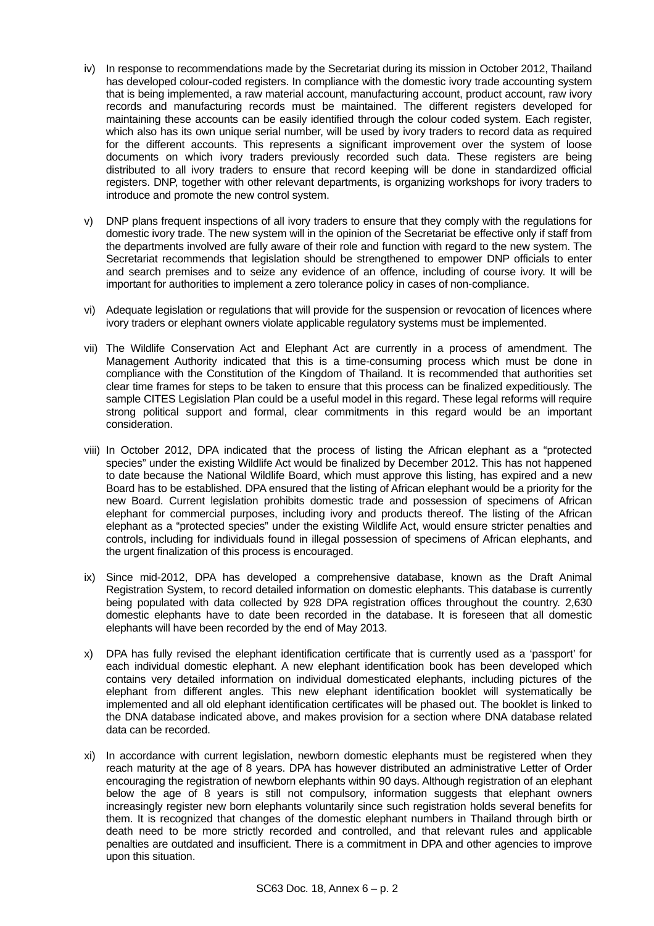- iv) In response to recommendations made by the Secretariat during its mission in October 2012, Thailand has developed colour-coded registers. In compliance with the domestic ivory trade accounting system that is being implemented, a raw material account, manufacturing account, product account, raw ivory records and manufacturing records must be maintained. The different registers developed for maintaining these accounts can be easily identified through the colour coded system. Each register, which also has its own unique serial number, will be used by ivory traders to record data as required for the different accounts. This represents a significant improvement over the system of loose documents on which ivory traders previously recorded such data. These registers are being distributed to all ivory traders to ensure that record keeping will be done in standardized official registers. DNP, together with other relevant departments, is organizing workshops for ivory traders to introduce and promote the new control system.
- v) DNP plans frequent inspections of all ivory traders to ensure that they comply with the regulations for domestic ivory trade. The new system will in the opinion of the Secretariat be effective only if staff from the departments involved are fully aware of their role and function with regard to the new system. The Secretariat recommends that legislation should be strengthened to empower DNP officials to enter and search premises and to seize any evidence of an offence, including of course ivory. It will be important for authorities to implement a zero tolerance policy in cases of non-compliance.
- vi) Adequate legislation or regulations that will provide for the suspension or revocation of licences where ivory traders or elephant owners violate applicable regulatory systems must be implemented.
- vii) The Wildlife Conservation Act and Elephant Act are currently in a process of amendment. The Management Authority indicated that this is a time-consuming process which must be done in compliance with the Constitution of the Kingdom of Thailand. It is recommended that authorities set clear time frames for steps to be taken to ensure that this process can be finalized expeditiously. The sample CITES Legislation Plan could be a useful model in this regard. These legal reforms will require strong political support and formal, clear commitments in this regard would be an important consideration.
- viii) In October 2012, DPA indicated that the process of listing the African elephant as a "protected species" under the existing Wildlife Act would be finalized by December 2012. This has not happened to date because the National Wildlife Board, which must approve this listing, has expired and a new Board has to be established. DPA ensured that the listing of African elephant would be a priority for the new Board. Current legislation prohibits domestic trade and possession of specimens of African elephant for commercial purposes, including ivory and products thereof. The listing of the African elephant as a "protected species" under the existing Wildlife Act, would ensure stricter penalties and controls, including for individuals found in illegal possession of specimens of African elephants, and the urgent finalization of this process is encouraged.
- ix) Since mid-2012, DPA has developed a comprehensive database, known as the Draft Animal Registration System, to record detailed information on domestic elephants. This database is currently being populated with data collected by 928 DPA registration offices throughout the country. 2,630 domestic elephants have to date been recorded in the database. It is foreseen that all domestic elephants will have been recorded by the end of May 2013.
- x) DPA has fully revised the elephant identification certificate that is currently used as a 'passport' for each individual domestic elephant. A new elephant identification book has been developed which contains very detailed information on individual domesticated elephants, including pictures of the elephant from different angles. This new elephant identification booklet will systematically be implemented and all old elephant identification certificates will be phased out. The booklet is linked to the DNA database indicated above, and makes provision for a section where DNA database related data can be recorded.
- xi) In accordance with current legislation, newborn domestic elephants must be registered when they reach maturity at the age of 8 years. DPA has however distributed an administrative Letter of Order encouraging the registration of newborn elephants within 90 days. Although registration of an elephant below the age of 8 years is still not compulsory, information suggests that elephant owners increasingly register new born elephants voluntarily since such registration holds several benefits for them. It is recognized that changes of the domestic elephant numbers in Thailand through birth or death need to be more strictly recorded and controlled, and that relevant rules and applicable penalties are outdated and insufficient. There is a commitment in DPA and other agencies to improve upon this situation.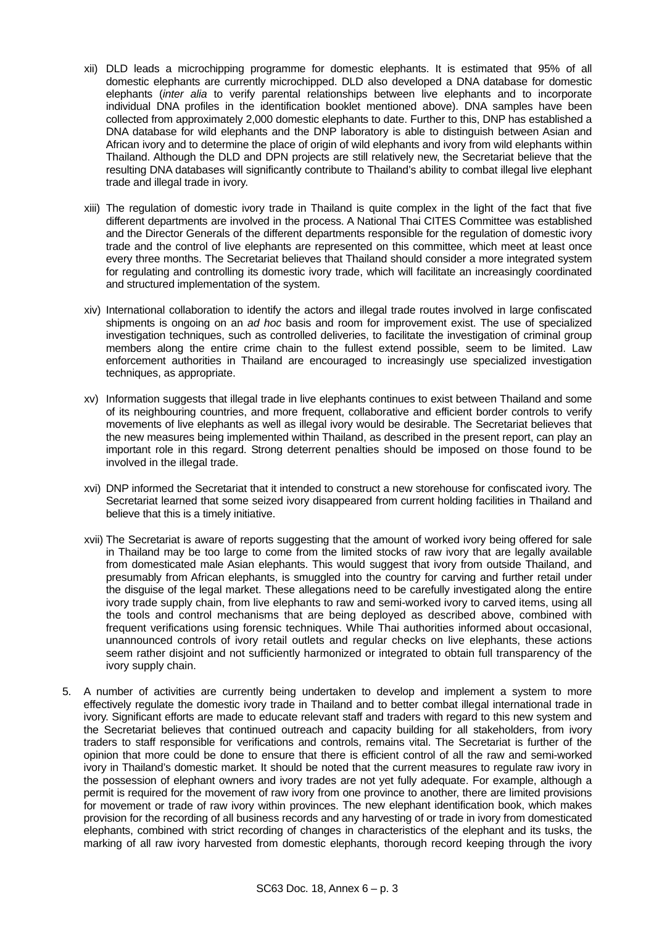- xii) DLD leads a microchipping programme for domestic elephants. It is estimated that 95% of all domestic elephants are currently microchipped. DLD also developed a DNA database for domestic elephants (*inter alia* to verify parental relationships between live elephants and to incorporate individual DNA profiles in the identification booklet mentioned above). DNA samples have been collected from approximately 2,000 domestic elephants to date. Further to this, DNP has established a DNA database for wild elephants and the DNP laboratory is able to distinguish between Asian and African ivory and to determine the place of origin of wild elephants and ivory from wild elephants within Thailand. Although the DLD and DPN projects are still relatively new, the Secretariat believe that the resulting DNA databases will significantly contribute to Thailand's ability to combat illegal live elephant trade and illegal trade in ivory.
- xiii) The regulation of domestic ivory trade in Thailand is quite complex in the light of the fact that five different departments are involved in the process. A National Thai CITES Committee was established and the Director Generals of the different departments responsible for the regulation of domestic ivory trade and the control of live elephants are represented on this committee, which meet at least once every three months. The Secretariat believes that Thailand should consider a more integrated system for regulating and controlling its domestic ivory trade, which will facilitate an increasingly coordinated and structured implementation of the system.
- xiv) International collaboration to identify the actors and illegal trade routes involved in large confiscated shipments is ongoing on an *ad hoc* basis and room for improvement exist. The use of specialized investigation techniques, such as controlled deliveries, to facilitate the investigation of criminal group members along the entire crime chain to the fullest extend possible, seem to be limited. Law enforcement authorities in Thailand are encouraged to increasingly use specialized investigation techniques, as appropriate.
- xv) Information suggests that illegal trade in live elephants continues to exist between Thailand and some of its neighbouring countries, and more frequent, collaborative and efficient border controls to verify movements of live elephants as well as illegal ivory would be desirable. The Secretariat believes that the new measures being implemented within Thailand, as described in the present report, can play an important role in this regard. Strong deterrent penalties should be imposed on those found to be involved in the illegal trade.
- xvi) DNP informed the Secretariat that it intended to construct a new storehouse for confiscated ivory. The Secretariat learned that some seized ivory disappeared from current holding facilities in Thailand and believe that this is a timely initiative.
- xvii) The Secretariat is aware of reports suggesting that the amount of worked ivory being offered for sale in Thailand may be too large to come from the limited stocks of raw ivory that are legally available from domesticated male Asian elephants. This would suggest that ivory from outside Thailand, and presumably from African elephants, is smuggled into the country for carving and further retail under the disguise of the legal market. These allegations need to be carefully investigated along the entire ivory trade supply chain, from live elephants to raw and semi-worked ivory to carved items, using all the tools and control mechanisms that are being deployed as described above, combined with frequent verifications using forensic techniques. While Thai authorities informed about occasional, unannounced controls of ivory retail outlets and regular checks on live elephants, these actions seem rather disjoint and not sufficiently harmonized or integrated to obtain full transparency of the ivory supply chain.
- 5. A number of activities are currently being undertaken to develop and implement a system to more effectively regulate the domestic ivory trade in Thailand and to better combat illegal international trade in ivory. Significant efforts are made to educate relevant staff and traders with regard to this new system and the Secretariat believes that continued outreach and capacity building for all stakeholders, from ivory traders to staff responsible for verifications and controls, remains vital. The Secretariat is further of the opinion that more could be done to ensure that there is efficient control of all the raw and semi-worked ivory in Thailand's domestic market. It should be noted that the current measures to regulate raw ivory in the possession of elephant owners and ivory trades are not yet fully adequate. For example, although a permit is required for the movement of raw ivory from one province to another, there are limited provisions for movement or trade of raw ivory within provinces. The new elephant identification book, which makes provision for the recording of all business records and any harvesting of or trade in ivory from domesticated elephants, combined with strict recording of changes in characteristics of the elephant and its tusks, the marking of all raw ivory harvested from domestic elephants, thorough record keeping through the ivory